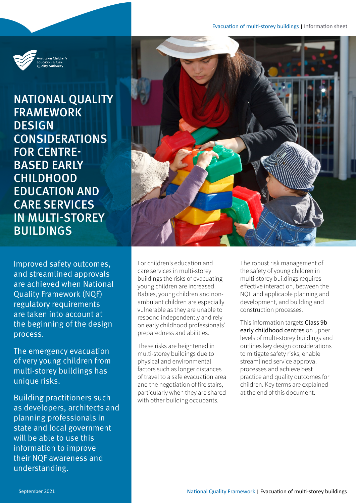

NATIONAL QUALITY FRAMEWORK **DESIGN CONSIDERATIONS** FOR CENTRE-BASED EARLY **CHILDHOOD** EDUCATION AND CARE SERVICES IN MULTI-STOREY BUILDINGS

Improved safety outcomes, and streamlined approvals are achieved when National Quality Framework (NQF) regulatory requirements are taken into account at the beginning of the design process.

The emergency evacuation of very young children from multi-storey buildings has unique risks.

Building practitioners such as developers, architects and planning professionals in state and local government will be able to use this information to improve their NQF awareness and understanding.



For children's education and care services in multi-storey buildings the risks of evacuating young children are increased. Babies, young children and nonambulant children are especially vulnerable as they are unable to respond independently and rely on early childhood professionals' preparedness and abilities.

These risks are heightened in multi-storey buildings due to physical and environmental factors such as longer distances of travel to a safe evacuation area and the negotiation of fire stairs, particularly when they are shared with other building occupants.

The robust risk management of the safety of young children in multi-storey buildings requires effective interaction, between the NQF and applicable planning and development, and building and construction processes.

This information targets Class 9b early childhood centres on upper levels of multi-storey buildings and outlines key design considerations to mitigate safety risks, enable streamlined service approval processes and achieve best practice and quality outcomes for children. Key terms are explained at the end of this document.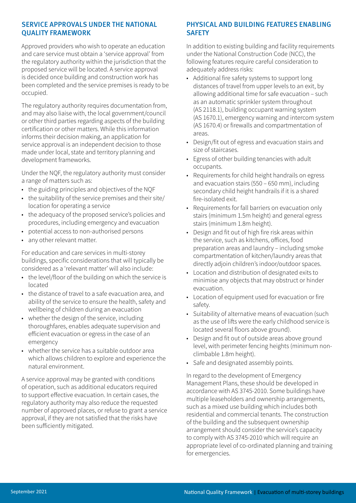## SERVICE APPROVALS UNDER THE NATIONAL QUALITY FRAMEWORK

Approved providers who wish to operate an education and care service must obtain a 'service approval' from the regulatory authority within the jurisdiction that the proposed service will be located. A service approval is decided once building and construction work has been completed and the service premises is ready to be occupied.

The regulatory authority requires documentation from, and may also liaise with, the local government/council or other third parties regarding aspects of the building certification or other matters. While this information informs their decision making, an application for service approval is an independent decision to those made under local, state and territory planning and development frameworks.

Under the NQF, the regulatory authority must consider a range of matters such as:

- the guiding principles and objectives of the NQF
- the suitability of the service premises and their site/ location for operating a service
- the adequacy of the proposed service's policies and procedures, including emergency and evacuation
- potential access to non-authorised persons
- any other relevant matter.

For education and care services in multi-storey buildings, specific considerations that will typically be considered as a 'relevant matter' will also include:

- the level/floor of the building on which the service is located
- the distance of travel to a safe evacuation area, and ability of the service to ensure the health, safety and wellbeing of children during an evacuation
- whether the design of the service, including thoroughfares, enables adequate supervision and efficient evacuation or egress in the case of an emergency
- whether the service has a suitable outdoor area which allows children to explore and experience the natural environment.

A service approval may be granted with conditions of operation, such as additional educators required to support effective evacuation. In certain cases, the regulatory authority may also reduce the requested number of approved places, or refuse to grant a service approval, if they are not satisfied that the risks have been sufficiently mitigated.

# PHYSICAL AND BUILDING FEATURES ENABLING **SAFETY**

In addition to existing building and facility requirements under the National Construction Code (NCC), the following features require careful consideration to adequately address risks:

- Additional fire safety systems to support long distances of travel from upper levels to an exit, by allowing additional time for safe evacuation – such as an automatic sprinkler system throughout (AS 2118.1), building occupant warning system (AS 1670.1), emergency warning and intercom system (AS 1670.4) or firewalls and compartmentation of areas.
- Design/fit out of egress and evacuation stairs and size of staircases.
- Egress of other building tenancies with adult occupants.
- Requirements for child height handrails on egress and evacuation stairs (550 – 650 mm), including secondary child height handrails if it is a shared fire-isolated exit.
- Requirements for fall barriers on evacuation only stairs (minimum 1.5m height) and general egress stairs (minimum 1.8m height).
- Design and fit out of high fire risk areas within the service, such as kitchens, offices, food preparation areas and laundry – including smoke compartmentation of kitchen/laundry areas that directly adjoin children's indoor/outdoor spaces.
- Location and distribution of designated exits to minimise any objects that may obstruct or hinder evacuation.
- Location of equipment used for evacuation or fire safety.
- Suitability of alternative means of evacuation (such as the use of lifts were the early childhood service is located several floors above ground).
- Design and fit out of outside areas above ground level, with perimeter fencing heights (minimum nonclimbable 1.8m height).
- Safe and designated assembly points.

In regard to the development of Emergency Management Plans, these should be developed in accordance with AS 3745-2010. Some buildings have multiple leaseholders and ownership arrangements, such as a mixed use building which includes both residential and commercial tenants. The construction of the building and the subsequent ownership arrangement should consider the service's capacity to comply with AS 3745-2010 which will require an appropriate level of co-ordinated planning and training for emergencies.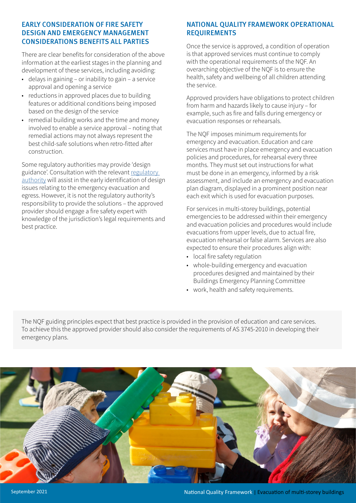## EARLY CONSIDERATION OF FIRE SAFETY DESIGN AND EMERGENCY MANAGEMENT CONSIDERATIONS BENEFITS ALL PARTIES

There are clear benefits for consideration of the above information at the earliest stages in the planning and development of these services, including avoiding:

- delays in gaining or inability to gain a service approval and opening a service
- reductions in approved places due to building features or additional conditions being imposed based on the design of the service
- remedial building works and the time and money involved to enable a service approval – noting that remedial actions may not always represent the best child-safe solutions when retro-fitted after construction.

Some regulatory authorities may provide 'design guidance'. Consultation with the relevant [regulatory](https://www.acecqa.gov.au/help/contact-your-regulatory-authority)  [authority](https://www.acecqa.gov.au/help/contact-your-regulatory-authority) will assist in the early identification of design issues relating to the emergency evacuation and egress. However, it is not the regulatory authority's responsibility to provide the solutions – the approved provider should engage a fire safety expert with knowledge of the jurisdiction's legal requirements and best practice.

# NATIONAL QUALITY FRAMEWORK OPERATIONAL REQUIREMENTS

Once the service is approved, a condition of operation is that approved services must continue to comply with the operational requirements of the NQF. An overarching objective of the NQF is to ensure the health, safety and wellbeing of all children attending the service.

Approved providers have obligations to protect children from harm and hazards likely to cause injury – for example, such as fire and falls during emergency or evacuation responses or rehearsals.

The NQF imposes minimum requirements for emergency and evacuation. Education and care services must have in place emergency and evacuation policies and procedures, for rehearsal every three months. They must set out instructions for what must be done in an emergency, informed by a risk assessment, and include an emergency and evacuation plan diagram, displayed in a prominent position near each exit which is used for evacuation purposes.

For services in multi-storey buildings, potential emergencies to be addressed within their emergency and evacuation policies and procedures would include evacuations from upper levels, due to actual fire, evacuation rehearsal or false alarm. Services are also expected to ensure their procedures align with:

- local fire safety regulation
- whole-building emergency and evacuation procedures designed and maintained by their Buildings Emergency Planning Committee
- work, health and safety requirements.

The NQF guiding principles expect that best practice is provided in the provision of education and care services. To achieve this the approved provider should also consider the requirements of AS 3745-2010 in developing their emergency plans.